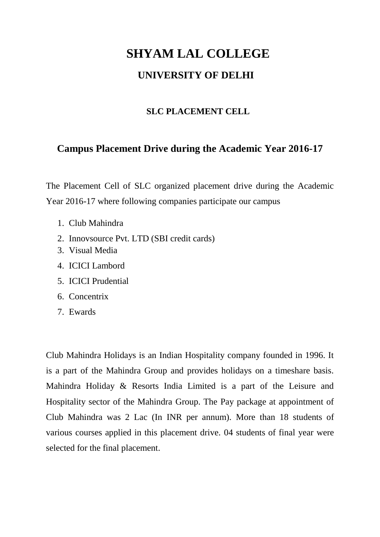## **SHYAM LAL COLLEGE UNIVERSITY OF DELHI**

## **SLC PLACEMENT CELL**

## **Campus Placement Drive during the Academic Year 2016-17**

The Placement Cell of SLC organized placement drive during the Academic Year 2016-17 where following companies participate our campus

- 1. Club Mahindra
- 2. Innovsource Pvt. LTD (SBI credit cards)
- 3. Visual Media
- 4. ICICI Lambord
- 5. ICICI Prudential
- 6. Concentrix
- 7. Ewards

Club Mahindra Holidays is an Indian Hospitality company founded in 1996. It is a part of the Mahindra Group and provides holidays on a timeshare basis. Mahindra Holiday & Resorts India Limited is a part of the Leisure and Hospitality sector of the Mahindra Group. The Pay package at appointment of Club Mahindra was 2 Lac (In INR per annum). More than 18 students of various courses applied in this placement drive. 04 students of final year were selected for the final placement.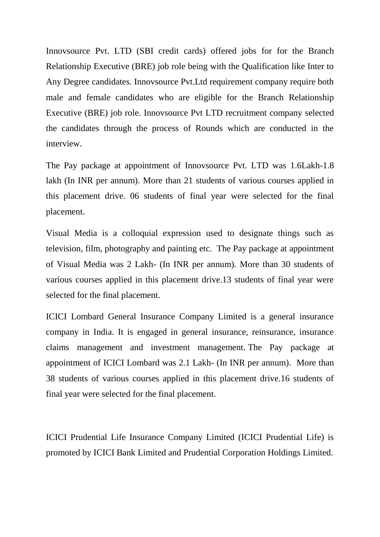Innovsource Pvt. LTD (SBI credit cards) offered jobs for for the Branch Relationship Executive (BRE) job role being with the Qualification like Inter to Any Degree candidates. Innovsource Pvt.Ltd requirement company require both male and female candidates who are eligible for the Branch Relationship Executive (BRE) job role. Innovsource Pvt LTD recruitment company selected the candidates through the process of Rounds which are conducted in the interview.

The Pay package at appointment of Innovsource Pvt. LTD was 1.6Lakh-1.8 lakh (In INR per annum). More than 21 students of various courses applied in this placement drive. 06 students of final year were selected for the final placement.

Visual Media is a colloquial expression used to designate things such as television, film, photography and painting etc. The Pay package at appointment of Visual Media was 2 Lakh- (In INR per annum). More than 30 students of various courses applied in this placement drive.13 students of final year were selected for the final placement.

ICICI Lombard General Insurance Company Limited is a general insurance company in India. It is engaged in general insurance, reinsurance, insurance claims management and investment management. The Pay package at appointment of ICICI Lombard was 2.1 Lakh- (In INR per annum). More than 38 students of various courses applied in this placement drive.16 students of final year were selected for the final placement.

ICICI Prudential Life Insurance Company Limited (ICICI Prudential Life) is promoted by ICICI Bank Limited and Prudential Corporation Holdings Limited.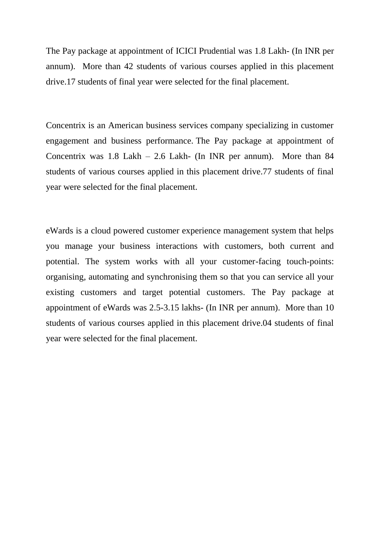The Pay package at appointment of ICICI Prudential was 1.8 Lakh- (In INR per annum). More than 42 students of various courses applied in this placement drive.17 students of final year were selected for the final placement.

Concentrix is an American business services company specializing in customer engagement and business performance. The Pay package at appointment of Concentrix was 1.8 Lakh – 2.6 Lakh- (In INR per annum). More than 84 students of various courses applied in this placement drive.77 students of final year were selected for the final placement.

eWards is a cloud powered customer experience management system that helps you manage your business interactions with customers, both current and potential. The system works with all your customer-facing touch-points: organising, automating and synchronising them so that you can service all your existing customers and target potential customers. The Pay package at appointment of eWards was 2.5-3.15 lakhs- (In INR per annum). More than 10 students of various courses applied in this placement drive.04 students of final year were selected for the final placement.